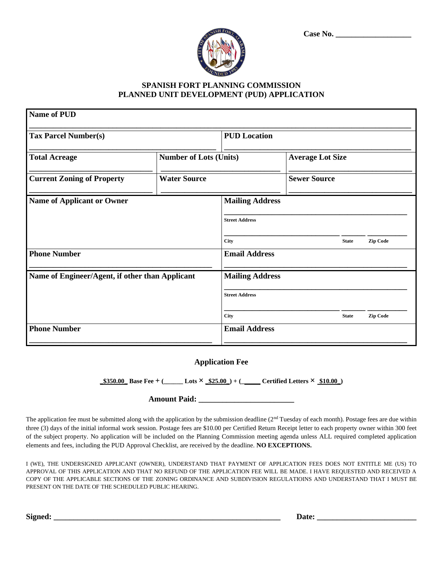| Case No. |  |
|----------|--|
|          |  |



## **SPANISH FORT PLANNING COMMISSION PLANNED UNIT DEVELOPMENT (PUD) APPLICATION**

| <b>Name of PUD</b>                              |                               |                         |  |                     |                 |  |
|-------------------------------------------------|-------------------------------|-------------------------|--|---------------------|-----------------|--|
| <b>Tax Parcel Number(s)</b>                     |                               | <b>PUD Location</b>     |  |                     |                 |  |
| <b>Total Acreage</b>                            | <b>Number of Lots (Units)</b> | <b>Average Lot Size</b> |  |                     |                 |  |
| <b>Current Zoning of Property</b>               | <b>Water Source</b>           |                         |  | <b>Sewer Source</b> |                 |  |
| <b>Name of Applicant or Owner</b>               |                               | <b>Mailing Address</b>  |  |                     |                 |  |
|                                                 |                               | <b>Street Address</b>   |  |                     |                 |  |
|                                                 |                               | City                    |  | <b>State</b>        | <b>Zip Code</b> |  |
| <b>Phone Number</b>                             |                               | <b>Email Address</b>    |  |                     |                 |  |
| Name of Engineer/Agent, if other than Applicant |                               | <b>Mailing Address</b>  |  |                     |                 |  |
|                                                 |                               | <b>Street Address</b>   |  |                     |                 |  |
|                                                 |                               | City                    |  | <b>State</b>        | <b>Zip Code</b> |  |
| <b>Phone Number</b>                             |                               | <b>Email Address</b>    |  |                     |                 |  |
|                                                 |                               |                         |  |                     |                 |  |

## **Application Fee**

**\_\$350.00\_ Base Fee + (\_\_\_\_\_\_ Lots × \_\$25.00\_) + (\_\_\_\_\_\_ Certified Letters × \$10.00\_)**

## **Amount Paid: \_\_\_\_\_\_\_\_\_\_\_\_\_\_\_\_\_\_\_\_\_\_\_\_**

The application fee must be submitted along with the application by the submission deadline ( $2<sup>nd</sup>$  Tuesday of each month). Postage fees are due within three (3) days of the initial informal work session. Postage fees are \$10.00 per Certified Return Receipt letter to each property owner within 300 feet of the subject property. No application will be included on the Planning Commission meeting agenda unless ALL required completed application elements and fees, including the PUD Approval Checklist, are received by the deadline. **NO EXCEPTIONS.**

I (WE), THE UNDERSIGNED APPLICANT (OWNER), UNDERSTAND THAT PAYMENT OF APPLICATION FEES DOES NOT ENTITLE ME (US) TO APPROVAL OF THIS APPLICATION AND THAT NO REFUND OF THE APPLICATION FEE WILL BE MADE. I HAVE REQUESTED AND RECEIVED A COPY OF THE APPLICABLE SECTIONS OF THE ZONING ORDINANCE AND SUBDIVISION REGULATIOINS AND UNDERSTAND THAT I MUST BE PRESENT ON THE DATE OF THE SCHEDULED PUBLIC HEARING.

Signed: <u>Example 2001</u> and the set of the set of the set of the set of the set of the set of the set of the set of the set of the set of the set of the set of the set of the set of the set of the set of the set of the set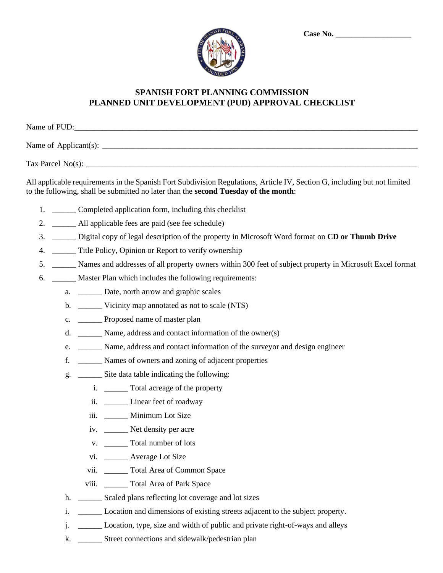| $o_{R^*}$ |  |
|-----------|--|
|           |  |
|           |  |
|           |  |

## **SPANISH FORT PLANNING COMMISSION PLANNED UNIT DEVELOPMENT (PUD) APPROVAL CHECKLIST**

| Name of PUD:                 |  |
|------------------------------|--|
| Name of Applicant(s): $\_\_$ |  |
| Tax Parcel No(s): $\_\$      |  |

All applicable requirements in the Spanish Fort Subdivision Regulations, Article IV, Section G, including but not limited to the following, shall be submitted no later than the **second Tuesday of the month**:

- 1. \_\_\_\_\_\_ Completed application form, including this checklist
- 2. \_\_\_\_\_\_\_ All applicable fees are paid (see fee schedule)
- 3. \_\_\_\_\_\_ Digital copy of legal description of the property in Microsoft Word format on **CD or Thumb Drive**
- 4. \_\_\_\_\_\_\_ Title Policy, Opinion or Report to verify ownership
- 5. \_\_\_\_\_\_ Names and addresses of all property owners within 300 feet of subject property in Microsoft Excel format
- 6. \_\_\_\_\_\_ Master Plan which includes the following requirements:
	- a. \_\_\_\_\_\_ Date, north arrow and graphic scales
	- b. \_\_\_\_\_\_\_\_ Vicinity map annotated as not to scale (NTS)
	- c. \_\_\_\_\_\_ Proposed name of master plan
	- d. \_\_\_\_\_\_ Name, address and contact information of the owner(s)
	- e. \_\_\_\_\_\_ Name, address and contact information of the surveyor and design engineer
	- f. \_\_\_\_\_\_ Names of owners and zoning of adjacent properties
	- g. \_\_\_\_\_\_ Site data table indicating the following:
		- i. \_\_\_\_\_\_ Total acreage of the property
		- ii. \_\_\_\_\_\_ Linear feet of roadway
		- iii. \_\_\_\_\_\_ Minimum Lot Size
		- iv. \_\_\_\_\_\_ Net density per acre
		- v. Total number of lots
		- vi. \_\_\_\_\_\_ Average Lot Size
		- vii. \_\_\_\_\_\_ Total Area of Common Space
		- viii. \_\_\_\_\_\_ Total Area of Park Space
	- h. \_\_\_\_\_\_\_\_ Scaled plans reflecting lot coverage and lot sizes
	- i. \_\_\_\_\_\_ Location and dimensions of existing streets adjacent to the subject property.
	- j. \_\_\_\_\_\_ Location, type, size and width of public and private right-of-ways and alleys
	- k. \_\_\_\_\_\_ Street connections and sidewalk/pedestrian plan